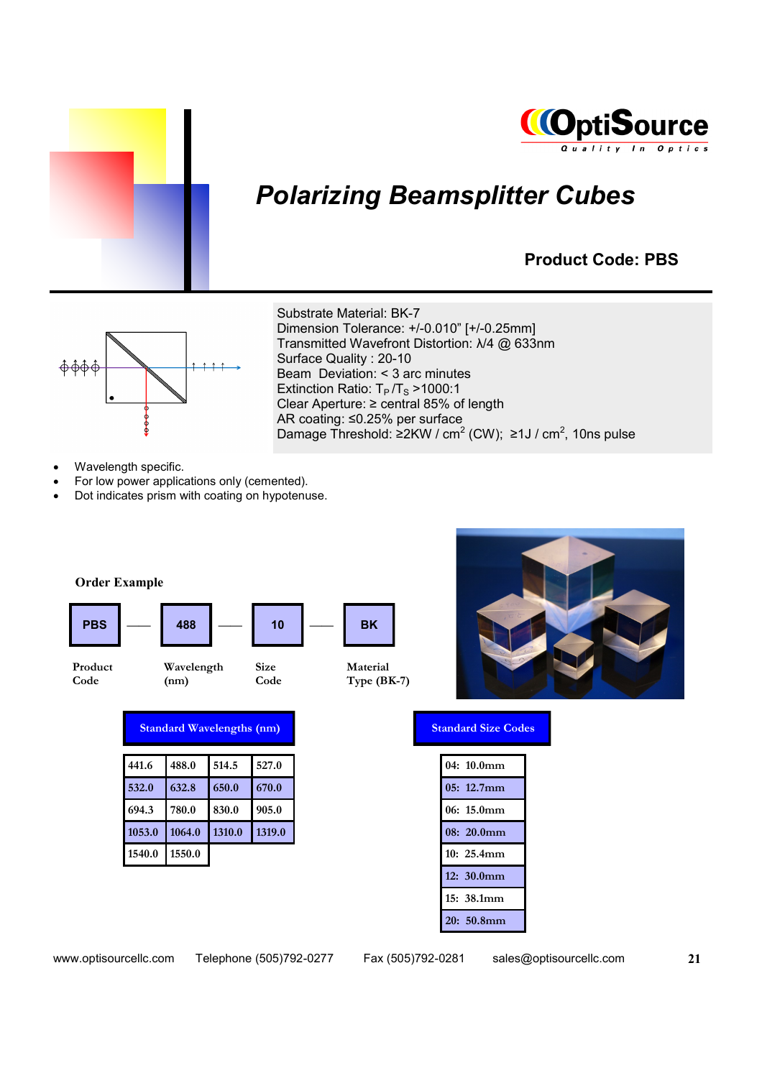



# *Polarizing Beamsplitter Cubes*

#### **Product Code: PBS**



Substrate Material: BK-7 Dimension Tolerance: +/-0.010" [+/-0.25mm] Transmitted Wavefront Distortion: λ/4 @ 633nm Surface Quality : 20-10 Beam Deviation: < 3 arc minutes Extinction Ratio:  $T_P/T_S > 1000:1$ Clear Aperture: ≥ central 85% of length AR coating: ≤0.25% per surface Damage Threshold: ≥2KW / cm<sup>2</sup> (CW); ≥1J / cm<sup>2</sup>, 10ns pulse

- Wavelength specific.
- For low power applications only (cemented).
- Dot indicates prism with coating on hypotenuse.

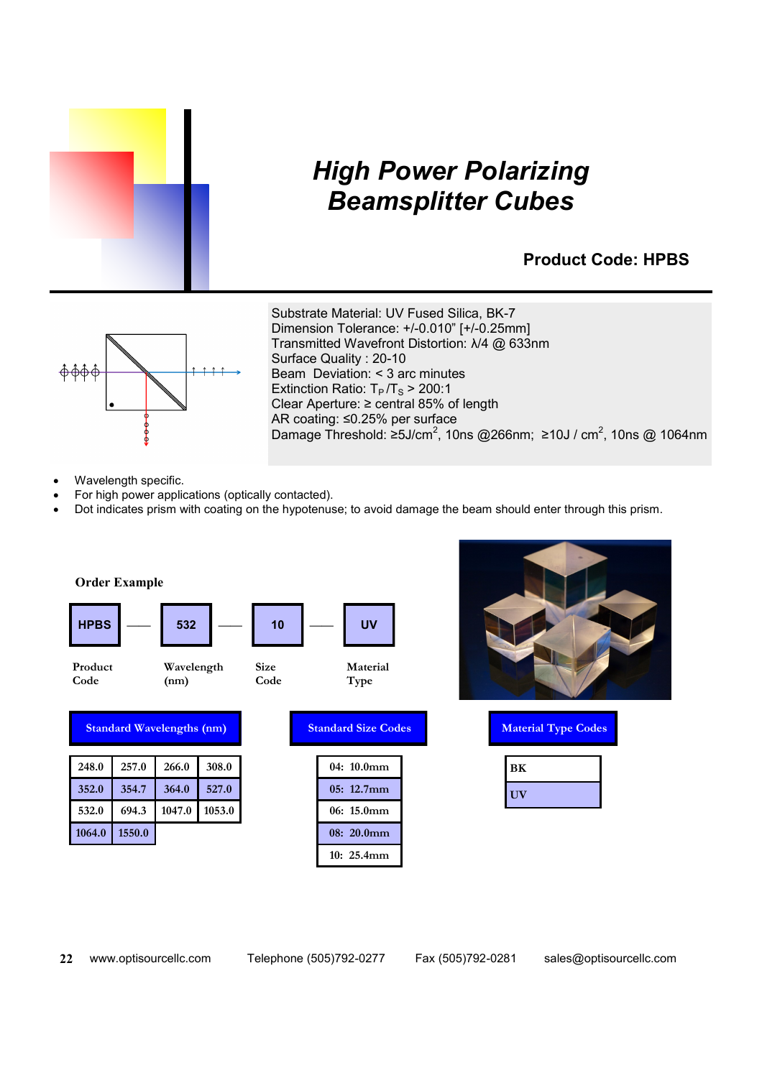

## *High Power Polarizing Beamsplitter Cubes*

#### **Product Code: HPBS**



Substrate Material: UV Fused Silica, BK-7 Dimension Tolerance: +/-0.010" [+/-0.25mm] Transmitted Wavefront Distortion: λ/4 @ 633nm Surface Quality : 20-10 Beam Deviation: < 3 arc minutes Extinction Ratio:  $T_P/T_S > 200:1$ Clear Aperture: ≥ central 85% of length AR coating: ≤0.25% per surface Damage Threshold: ≥5J/cm<sup>2</sup>, 10ns @266nm; ≥10J / cm<sup>2</sup>, 10ns @ 1064nm

- Wavelength specific.
- For high power applications (optically contacted).
- Dot indicates prism with coating on the hypotenuse; to avoid damage the beam should enter through this prism.





| <b>Material Type Codes</b> |    |  |
|----------------------------|----|--|
|                            | BК |  |
|                            | UV |  |